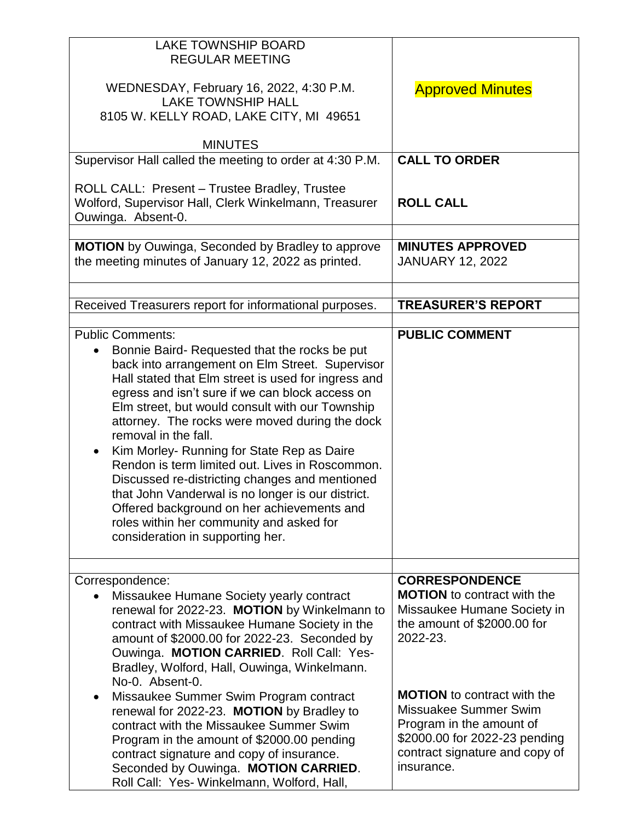| <b>LAKE TOWNSHIP BOARD</b><br><b>REGULAR MEETING</b><br>WEDNESDAY, February 16, 2022, 4:30 P.M.<br><b>LAKE TOWNSHIP HALL</b><br>8105 W. KELLY ROAD, LAKE CITY, MI 49651<br><b>MINUTES</b>                                                                                                                                                                                                                                                                                                                                                                                                                                                                                                               | <b>Approved Minutes</b>                                                                                                                                                                                                                                                                                           |
|---------------------------------------------------------------------------------------------------------------------------------------------------------------------------------------------------------------------------------------------------------------------------------------------------------------------------------------------------------------------------------------------------------------------------------------------------------------------------------------------------------------------------------------------------------------------------------------------------------------------------------------------------------------------------------------------------------|-------------------------------------------------------------------------------------------------------------------------------------------------------------------------------------------------------------------------------------------------------------------------------------------------------------------|
| Supervisor Hall called the meeting to order at 4:30 P.M.                                                                                                                                                                                                                                                                                                                                                                                                                                                                                                                                                                                                                                                | <b>CALL TO ORDER</b>                                                                                                                                                                                                                                                                                              |
| ROLL CALL: Present - Trustee Bradley, Trustee<br>Wolford, Supervisor Hall, Clerk Winkelmann, Treasurer<br>Ouwinga. Absent-0.                                                                                                                                                                                                                                                                                                                                                                                                                                                                                                                                                                            | <b>ROLL CALL</b>                                                                                                                                                                                                                                                                                                  |
| <b>MOTION</b> by Ouwinga, Seconded by Bradley to approve<br>the meeting minutes of January 12, 2022 as printed.                                                                                                                                                                                                                                                                                                                                                                                                                                                                                                                                                                                         | <b>MINUTES APPROVED</b><br><b>JANUARY 12, 2022</b>                                                                                                                                                                                                                                                                |
| Received Treasurers report for informational purposes.                                                                                                                                                                                                                                                                                                                                                                                                                                                                                                                                                                                                                                                  | <b>TREASURER'S REPORT</b>                                                                                                                                                                                                                                                                                         |
| <b>Public Comments:</b><br>Bonnie Baird-Requested that the rocks be put<br>back into arrangement on Elm Street. Supervisor<br>Hall stated that Elm street is used for ingress and<br>egress and isn't sure if we can block access on<br>Elm street, but would consult with our Township<br>attorney. The rocks were moved during the dock<br>removal in the fall.<br>Kim Morley- Running for State Rep as Daire<br>Rendon is term limited out. Lives in Roscommon.<br>Discussed re-districting changes and mentioned<br>that John Vanderwal is no longer is our district.<br>Offered background on her achievements and<br>roles within her community and asked for<br>consideration in supporting her. | <b>PUBLIC COMMENT</b>                                                                                                                                                                                                                                                                                             |
| Correspondence:<br>Missaukee Humane Society yearly contract<br>renewal for 2022-23. MOTION by Winkelmann to<br>contract with Missaukee Humane Society in the<br>amount of \$2000.00 for 2022-23. Seconded by<br>Ouwinga. MOTION CARRIED. Roll Call: Yes-<br>Bradley, Wolford, Hall, Ouwinga, Winkelmann.<br>No-0. Absent-0.<br>Missaukee Summer Swim Program contract<br>$\bullet$<br>renewal for 2022-23. MOTION by Bradley to<br>contract with the Missaukee Summer Swim<br>Program in the amount of \$2000.00 pending<br>contract signature and copy of insurance.<br>Seconded by Ouwinga. MOTION CARRIED.<br>Roll Call: Yes- Winkelmann, Wolford, Hall,                                             | <b>CORRESPONDENCE</b><br><b>MOTION</b> to contract with the<br>Missaukee Humane Society in<br>the amount of \$2000.00 for<br>2022-23.<br><b>MOTION</b> to contract with the<br>Missuakee Summer Swim<br>Program in the amount of<br>\$2000.00 for 2022-23 pending<br>contract signature and copy of<br>insurance. |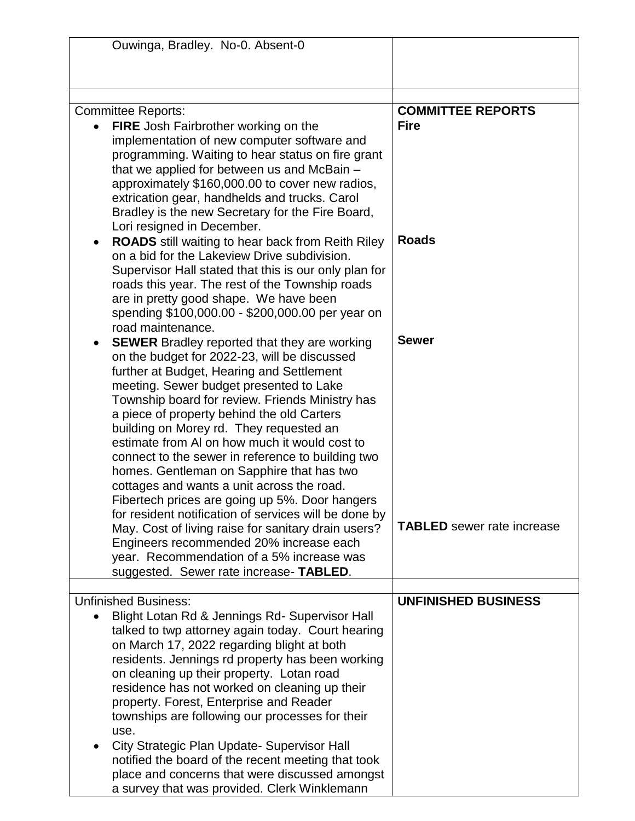| Ouwinga, Bradley. No-0. Absent-0                         |                                   |
|----------------------------------------------------------|-----------------------------------|
|                                                          |                                   |
|                                                          |                                   |
|                                                          |                                   |
| <b>Committee Reports:</b>                                | <b>COMMITTEE REPORTS</b>          |
|                                                          | <b>Fire</b>                       |
| <b>FIRE</b> Josh Fairbrother working on the              |                                   |
| implementation of new computer software and              |                                   |
| programming. Waiting to hear status on fire grant        |                                   |
| that we applied for between us and McBain -              |                                   |
| approximately \$160,000.00 to cover new radios,          |                                   |
| extrication gear, handhelds and trucks. Carol            |                                   |
| Bradley is the new Secretary for the Fire Board,         |                                   |
| Lori resigned in December.                               |                                   |
| <b>ROADS</b> still waiting to hear back from Reith Riley | <b>Roads</b>                      |
| on a bid for the Lakeview Drive subdivision.             |                                   |
| Supervisor Hall stated that this is our only plan for    |                                   |
| roads this year. The rest of the Township roads          |                                   |
| are in pretty good shape. We have been                   |                                   |
| spending \$100,000.00 - \$200,000.00 per year on         |                                   |
| road maintenance.                                        |                                   |
| <b>SEWER</b> Bradley reported that they are working      | <b>Sewer</b>                      |
| on the budget for 2022-23, will be discussed             |                                   |
| further at Budget, Hearing and Settlement                |                                   |
| meeting. Sewer budget presented to Lake                  |                                   |
| Township board for review. Friends Ministry has          |                                   |
| a piece of property behind the old Carters               |                                   |
| building on Morey rd. They requested an                  |                                   |
| estimate from AI on how much it would cost to            |                                   |
|                                                          |                                   |
| connect to the sewer in reference to building two        |                                   |
| homes. Gentleman on Sapphire that has two                |                                   |
| cottages and wants a unit across the road.               |                                   |
| Fibertech prices are going up 5%. Door hangers           |                                   |
| for resident notification of services will be done by    |                                   |
| May. Cost of living raise for sanitary drain users?      | <b>TABLED</b> sewer rate increase |
| Engineers recommended 20% increase each                  |                                   |
| year. Recommendation of a 5% increase was                |                                   |
| suggested. Sewer rate increase- TABLED.                  |                                   |
|                                                          |                                   |
| <b>Unfinished Business:</b>                              | <b>UNFINISHED BUSINESS</b>        |
| Blight Lotan Rd & Jennings Rd- Supervisor Hall           |                                   |
| talked to twp attorney again today. Court hearing        |                                   |
| on March 17, 2022 regarding blight at both               |                                   |
| residents. Jennings rd property has been working         |                                   |
| on cleaning up their property. Lotan road                |                                   |
| residence has not worked on cleaning up their            |                                   |
| property. Forest, Enterprise and Reader                  |                                   |
| townships are following our processes for their          |                                   |
|                                                          |                                   |
| use.                                                     |                                   |
| City Strategic Plan Update- Supervisor Hall              |                                   |
| notified the board of the recent meeting that took       |                                   |
| place and concerns that were discussed amongst           |                                   |
| a survey that was provided. Clerk Winklemann             |                                   |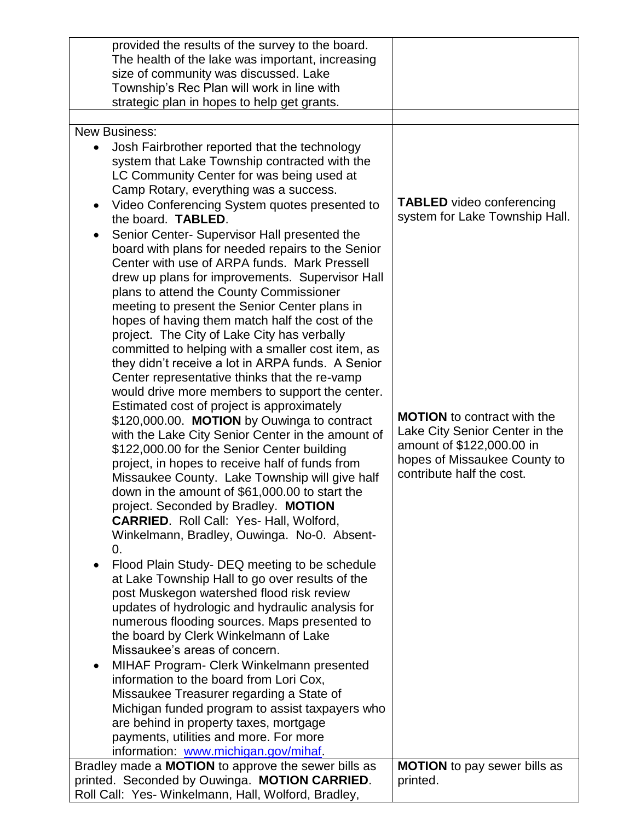| provided the results of the survey to the board.<br>The health of the lake was important, increasing<br>size of community was discussed. Lake<br>Township's Rec Plan will work in line with<br>strategic plan in hopes to help get grants.                                                                                                                                                                                                                                                                                                                                                                                                                                                                                                                                                                                                                                                                                                                                                                                                                                                                                                                                                                                                                                                                                                                                                                                                                                                                                                                                                                                                                                                                                                                                                                                               |                                                                                                                                                                                                                                      |
|------------------------------------------------------------------------------------------------------------------------------------------------------------------------------------------------------------------------------------------------------------------------------------------------------------------------------------------------------------------------------------------------------------------------------------------------------------------------------------------------------------------------------------------------------------------------------------------------------------------------------------------------------------------------------------------------------------------------------------------------------------------------------------------------------------------------------------------------------------------------------------------------------------------------------------------------------------------------------------------------------------------------------------------------------------------------------------------------------------------------------------------------------------------------------------------------------------------------------------------------------------------------------------------------------------------------------------------------------------------------------------------------------------------------------------------------------------------------------------------------------------------------------------------------------------------------------------------------------------------------------------------------------------------------------------------------------------------------------------------------------------------------------------------------------------------------------------------|--------------------------------------------------------------------------------------------------------------------------------------------------------------------------------------------------------------------------------------|
| <b>New Business:</b>                                                                                                                                                                                                                                                                                                                                                                                                                                                                                                                                                                                                                                                                                                                                                                                                                                                                                                                                                                                                                                                                                                                                                                                                                                                                                                                                                                                                                                                                                                                                                                                                                                                                                                                                                                                                                     |                                                                                                                                                                                                                                      |
| Josh Fairbrother reported that the technology<br>system that Lake Township contracted with the<br>LC Community Center for was being used at<br>Camp Rotary, everything was a success.<br>Video Conferencing System quotes presented to<br>$\bullet$<br>the board. TABLED.<br>Senior Center- Supervisor Hall presented the<br>board with plans for needed repairs to the Senior<br>Center with use of ARPA funds. Mark Pressell<br>drew up plans for improvements. Supervisor Hall<br>plans to attend the County Commissioner<br>meeting to present the Senior Center plans in<br>hopes of having them match half the cost of the<br>project. The City of Lake City has verbally<br>committed to helping with a smaller cost item, as<br>they didn't receive a lot in ARPA funds. A Senior<br>Center representative thinks that the re-vamp<br>would drive more members to support the center.<br>Estimated cost of project is approximately<br>\$120,000.00. MOTION by Ouwinga to contract<br>with the Lake City Senior Center in the amount of<br>\$122,000.00 for the Senior Center building<br>project, in hopes to receive half of funds from<br>Missaukee County. Lake Township will give half<br>down in the amount of \$61,000.00 to start the<br>project. Seconded by Bradley. MOTION<br><b>CARRIED.</b> Roll Call: Yes- Hall, Wolford,<br>Winkelmann, Bradley, Ouwinga. No-0. Absent-<br>0.<br>Flood Plain Study- DEQ meeting to be schedule<br>at Lake Township Hall to go over results of the<br>post Muskegon watershed flood risk review<br>updates of hydrologic and hydraulic analysis for<br>numerous flooding sources. Maps presented to<br>the board by Clerk Winkelmann of Lake<br>Missaukee's areas of concern.<br>MIHAF Program- Clerk Winkelmann presented<br>$\bullet$<br>information to the board from Lori Cox, | <b>TABLED</b> video conferencing<br>system for Lake Township Hall.<br><b>MOTION</b> to contract with the<br>Lake City Senior Center in the<br>amount of \$122,000.00 in<br>hopes of Missaukee County to<br>contribute half the cost. |
| Missaukee Treasurer regarding a State of                                                                                                                                                                                                                                                                                                                                                                                                                                                                                                                                                                                                                                                                                                                                                                                                                                                                                                                                                                                                                                                                                                                                                                                                                                                                                                                                                                                                                                                                                                                                                                                                                                                                                                                                                                                                 |                                                                                                                                                                                                                                      |
| Michigan funded program to assist taxpayers who                                                                                                                                                                                                                                                                                                                                                                                                                                                                                                                                                                                                                                                                                                                                                                                                                                                                                                                                                                                                                                                                                                                                                                                                                                                                                                                                                                                                                                                                                                                                                                                                                                                                                                                                                                                          |                                                                                                                                                                                                                                      |
| are behind in property taxes, mortgage                                                                                                                                                                                                                                                                                                                                                                                                                                                                                                                                                                                                                                                                                                                                                                                                                                                                                                                                                                                                                                                                                                                                                                                                                                                                                                                                                                                                                                                                                                                                                                                                                                                                                                                                                                                                   |                                                                                                                                                                                                                                      |
| payments, utilities and more. For more                                                                                                                                                                                                                                                                                                                                                                                                                                                                                                                                                                                                                                                                                                                                                                                                                                                                                                                                                                                                                                                                                                                                                                                                                                                                                                                                                                                                                                                                                                                                                                                                                                                                                                                                                                                                   |                                                                                                                                                                                                                                      |
| information: www.michigan.gov/mihaf.                                                                                                                                                                                                                                                                                                                                                                                                                                                                                                                                                                                                                                                                                                                                                                                                                                                                                                                                                                                                                                                                                                                                                                                                                                                                                                                                                                                                                                                                                                                                                                                                                                                                                                                                                                                                     |                                                                                                                                                                                                                                      |
| Bradley made a <b>MOTION</b> to approve the sewer bills as<br>printed. Seconded by Ouwinga. MOTION CARRIED.                                                                                                                                                                                                                                                                                                                                                                                                                                                                                                                                                                                                                                                                                                                                                                                                                                                                                                                                                                                                                                                                                                                                                                                                                                                                                                                                                                                                                                                                                                                                                                                                                                                                                                                              | <b>MOTION</b> to pay sewer bills as<br>printed.                                                                                                                                                                                      |
| Roll Call: Yes- Winkelmann, Hall, Wolford, Bradley,                                                                                                                                                                                                                                                                                                                                                                                                                                                                                                                                                                                                                                                                                                                                                                                                                                                                                                                                                                                                                                                                                                                                                                                                                                                                                                                                                                                                                                                                                                                                                                                                                                                                                                                                                                                      |                                                                                                                                                                                                                                      |